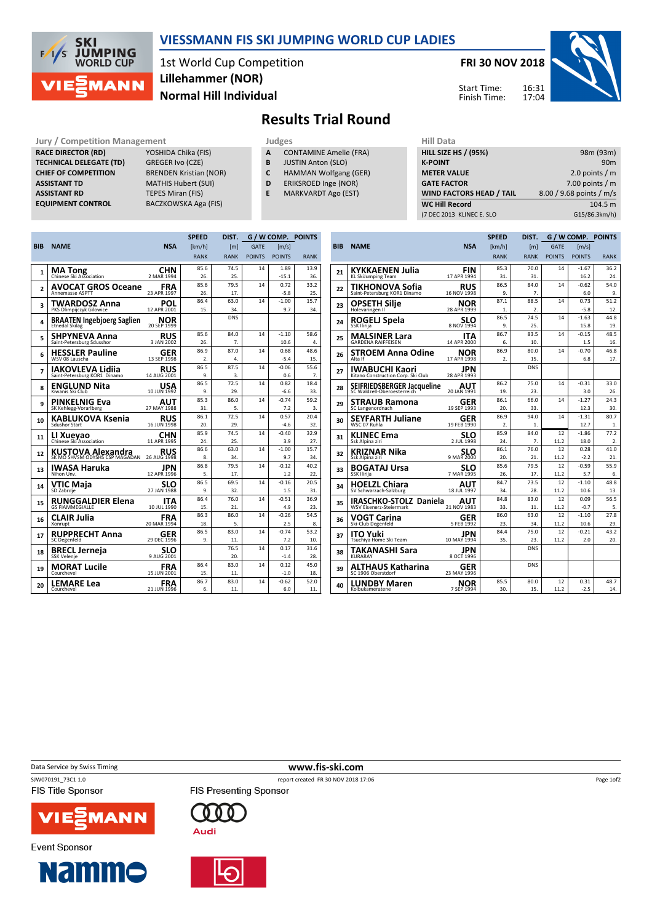

## VIESSMANN FIS SKI JUMPING WORLD CUP LADIES

1st World Cup Competition Normal Hill Individual Lillehammer (NOR)

FRI 30 NOV 2018

Start Time: Finish Time:



Results Trial Round

Jury / Competition Management<br> **RACE DIRECTOR (RD)** YOSHIDA Chika (FIS) **A** CONTAMINE Amelie (FRA) **HILL SIZE HILL SIZE** RACE DIRECTOR (RD) **TECHNICAL DELEGATE (TD)** GREGER Ivo (CZE)<br> **CHIEF OF COMPETITION** BRENDEN Kristian (NOR) CHIEF OF COMPETITION ASSISTANT TD MATHIS Hubert (SUI) **ASSISTANT RD** TEPES Miran (FIS)<br> **EQUIPMENT CONTROL** BACZKOWSKA Aga

BACZKOWSKA Aga (FIS)

- A CONTAMINE Amelie (FRA)
- **B** JUSTIN Anton (SLO)<br>**C** HAMMAN Wolfgang
- HAMMAN Wolfgang (GER)
- D ERIKSROED Inge (NOR)
- E MARKVARDT Ago (EST)

| пш мака                         |                          |
|---------------------------------|--------------------------|
| <b>HILL SIZE HS / (95%)</b>     | 98m (93m)                |
| <b>K-POINT</b>                  | 90 <sub>m</sub>          |
| <b>METER VALUE</b>              | 2.0 points $/m$          |
| <b>GATE FACTOR</b>              | 7.00 points $/m$         |
| <b>WIND FACTORS HEAD / TAIL</b> | 8.00 / 9.68 points / m/s |
| <b>WC Hill Record</b>           | 104.5 m                  |
| (7 DEC 2013 KLINEC E. SLO       | G15/86.3km/h)            |
|                                 |                          |

|                |                                                            | G / W COMP. POINTS<br><b>SPEED</b><br>DIST. |                  |             |               |                |             |  |
|----------------|------------------------------------------------------------|---------------------------------------------|------------------|-------------|---------------|----------------|-------------|--|
| <b>BIB</b>     | <b>NAME</b>                                                | <b>NSA</b>                                  | [km/h]           | [m]         | <b>GATE</b>   | [m/s]          |             |  |
|                |                                                            |                                             | <b>RANK</b>      | <b>RANK</b> | <b>POINTS</b> | <b>POINTS</b>  | <b>RANK</b> |  |
|                |                                                            | CHN                                         | 85.6             | 74.5        | 14            | 1.89           | 13.9        |  |
| 1              | <b>MA Tong</b><br>Chinese Ski Association                  | 2 MAR 1994                                  | 26.              | 25.         |               | $-15.1$        | 36.         |  |
| $\overline{2}$ | <b>AVOCAT GROS Oceane</b>                                  | FRA                                         | 85.6             | 79.5        | 14            | 0.72           | 33.2        |  |
|                | <b>Annemasse ASPTT</b>                                     | 23 APR 1997                                 | 26.              | 17.         |               | $-5.8$         | 25.         |  |
| 3              | <b>TWARDOSZ Anna</b>                                       | POL                                         | 86.4             | 63.0        | 14            | $-1.00$        | 15.7        |  |
|                | PKS Olimpijczyk Gilowice                                   | 12 APR 2001                                 | 15.              | 34.         |               | 9.7            | 34.         |  |
| 4              | <b>BRAATEN Ingebjoerg Saglien</b><br><b>Etnedal Skilag</b> | <b>NOR</b><br>20 SEP 1999                   |                  | <b>DNS</b>  |               |                |             |  |
| 5              | <b>SHPYNEVA Anna</b>                                       | <b>RUS</b>                                  | 85.6             | 84.0        | 14            | $-1.10$        | 58.6        |  |
|                | Saint-Petersburg Sdusshor                                  | 3 JAN 2002                                  | 26.              | 7.          |               | 10.6           | 4.          |  |
| 6              | <b>HESSLER Pauline</b>                                     | GER                                         | 86.9             | 87.0        | 14            | 0.68           | 48.6        |  |
|                | WSV 08 Lauscha                                             | 13 SEP 1998                                 | $\overline{2}$ . | 4.          |               | $-5.4$         | 15.         |  |
| 7              | IAKOVLEVA Lidiia                                           | <b>RUS</b>                                  | 86.5             | 87.5        | 14            | $-0.06$        | 55.6        |  |
|                | Saint-Petersburg KOR1 Dinamo                               | 14 AUG 2001                                 | 9.               | 3.          |               | 0.6            | 7.          |  |
| 8              | <b>ENGLUND Nita</b><br>Kiwanis Ski Club                    | <b>USA</b><br>10 JUN 1992                   | 86.5<br>9.       | 72.5<br>29. | 14            | 0.82<br>$-6.6$ | 18.4<br>33. |  |
|                |                                                            |                                             | 85.3             | 86.0        | 14            | $-0.74$        | 59.2        |  |
| 9              | <b>PINKELNIG Eva</b><br>SK Kehlegg-Vorarlberg              | <b>AUT</b><br>27 MAY 1988                   | 31.              | 5.          |               | 7.2            | 3.          |  |
|                |                                                            |                                             | 86.1             | 72.5        | 14            | 0.57           | 20.4        |  |
| 10             | KABLUKOVA Ksenia<br><b>Sdushor Start</b>                   | <b>RUS</b><br>16 JUN 1998                   | 20.              | 29.         |               | $-4.6$         | 32.         |  |
|                |                                                            | CHN                                         | 85.9             | 74.5        | 14            | $-0.40$        | 32.9        |  |
| 11             | LI Xueyao<br>Chinese Ski Association                       | 11 APR 1995                                 | 24.              | 25.         |               | 3.9            | 27.         |  |
| 12             |                                                            | <b>RUS</b>                                  | 86.6             | 63.0        | 14            | $-1.00$        | 15.7        |  |
|                | <b>KUSTOVA Alexandra</b><br>SK MO SHVSM ODYSHS CSP MAGADAN | 26 AUG 1998                                 | 8.               | 34.         |               | 9.7            | 34.         |  |
| 13             | IWASA Haruka                                               | JPN                                         | 86.8             | 79.5        | 14            | $-0.12$        | 40.2        |  |
|                | Nihon Unv.                                                 | 12 APR 1996                                 | 5.               | 17.         |               | 1.2            | 22.         |  |
| 14             | VTIC Maja                                                  | <b>SLO</b><br>27 JAN 1988                   | 86.5             | 69.5        | 14            | $-0.16$        | 20.5        |  |
|                | SD Zabrdje                                                 |                                             | 9.               | 32.         |               | 1.5            | 31.         |  |
| 15             | <b>RUNGGALDIER Elena</b>                                   | ITA                                         | 86.4             | 76.0        | 14            | $-0.51$        | 36.9        |  |
|                | <b>GS FIAMMEGIALLE</b>                                     | 10 JUL 1990                                 | 15.              | 21.         |               | 4.9            | 23.         |  |
| 16             | CLAIR Julia                                                | FRA                                         | 86.3             | 86.0        | 14            | $-0.26$        | 54.5        |  |
|                | Xonrupt                                                    | 20 MAR 1994                                 | 18.              | 5.          | 14            | 2.5<br>$-0.74$ | 8.<br>53.2  |  |
| 17             | <b>RUPPRECHT Anna</b><br><b>SC Degenfeld</b>               | GER<br>29 DEC 1996                          | 86.5<br>9.       | 83.0<br>11. |               | 7.2            | 10.         |  |
|                |                                                            |                                             |                  | 76.5        | 14            | 0.17           | 31.6        |  |
| 18             | <b>BRECL Jerneja</b><br><b>SSK Velenje</b>                 | <b>SLO</b><br>9 AUG 2001                    |                  | 20.         |               | $-1.4$         | 28.         |  |
| 19             | <b>MORAT Lucile</b>                                        | <b>FRA</b>                                  | 86.4             | 83.0        | 14            | 0.12           | 45.0        |  |
|                | Courchevel                                                 | 15 JUN 2001                                 | 15.              | 11.         |               | $-1.0$         | 18.         |  |
| 20             | <b>LEMARE Lea</b>                                          | FRA                                         | 86.7             | 83.0        | 14            | $-0.62$        | 52.0        |  |
|                | Courchevel                                                 | 21 JUN 1996                                 | 6.               | 11.         |               | 6.0            | 11.         |  |

|            |                                                          |                           | <b>SPEED</b>     | DIST.            | G / W COMP.   |                     | <b>POINTS</b> |  |
|------------|----------------------------------------------------------|---------------------------|------------------|------------------|---------------|---------------------|---------------|--|
| <b>BIB</b> | <b>NAME</b>                                              | <b>NSA</b>                | [km/h]           | [m]              | <b>GATE</b>   | $\lceil m/s \rceil$ |               |  |
|            |                                                          |                           | <b>RANK</b>      | <b>RANK</b>      | <b>POINTS</b> | <b>POINTS</b>       | <b>RANK</b>   |  |
|            | KYKKAENEN Julia                                          | <b>FIN</b>                | 85.3             | 70.0             | 14            | $-1.67$             | 36.2          |  |
| 21         | KL SkiJumping Team                                       | 17 APR 1994               | 31.              | 31.              |               | 16.2                | 24.           |  |
| 22         | TIKHONOVA Sofia                                          | RUS                       | 86.5             | 84.0             | 14            | $-0.62$             | 54.0          |  |
|            | Saint-Petersburg KOR1 Dinamo                             | 16 NOV 1998               | 9.               | 7.               |               | 6.0                 | 9.            |  |
| 23         | OPSETH Silie                                             | NOR                       | 87.1             | 88.5             | 14            | 0.73                | 51.2          |  |
|            | Holevaringen II                                          | 28 APR 1999               | 1.               | $\overline{2}$ . |               | $-5.8$              | 12.           |  |
| 24         | ROGELJ Spela                                             | SLO                       | 86.5             | 74.5             | 14            | $-1.63$             | 44.8          |  |
|            | SSK Ilirija                                              | 8 NOV 1994                | 9.               | 25.              |               | 15.8                | 19.           |  |
| 25         | <b>MALSINER Lara</b><br><b>GARDENA RAIFFEISEN</b>        | <b>ITA</b><br>14 APR 2000 | 86.7<br>6.       | 83.5<br>10.      | 14            | $-0.15$<br>1.5      | 48.5<br>16.   |  |
|            |                                                          |                           | 86.9             | 80.0             | 14            | $-0.70$             | 46.8          |  |
| 26         | <b>STROEM Anna Odine</b><br>Alta If                      | NOR<br>17 APR 1998        | $\overline{2}$ . | 15.              |               | 6.8                 | 17.           |  |
|            |                                                          |                           |                  | <b>DNS</b>       |               |                     |               |  |
| 27         | IWABUCHI Kaori<br>Kitano Construction Corp. Ski Club     | JPN<br>28 APR 1993        |                  |                  |               |                     |               |  |
| 28         | SEIFRIEDSBERGER Jacqueline                               | AUT                       | 86.2             | 75.0             | 14            | $-0.31$             | 33.0          |  |
|            | SC Waldzell-Oberoesterreich                              | 20 JAN 1991               | 19.              | 23.              |               | 3.0                 | 26.           |  |
| 29         | <b>STRAUB Ramona</b>                                     | GER                       | 86.1             | 66.0             | 14            | $-1.27$             | 24.3          |  |
|            | SC Langenordnach                                         | 19 SEP 1993               | 20.              | 33.              |               | 12.3                | 30.           |  |
| 30         | <b>SEYFARTH Juliane</b>                                  | GER                       | 86.9             | 94.0             | 14            | $-1.31$             | 80.7          |  |
|            | WSC 07 Ruhla                                             | 19 FEB 1990               | 2.               | 1.               |               | 12.7                | 1.            |  |
| 31         | <b>KLINEC Ema</b><br>Ssk Alpina ziri                     | SLO<br>2 JUL 1998         | 85.9<br>24.      | 84.0<br>7.       | 12<br>11.2    | $-1.86$<br>18.0     | 77.2<br>2.    |  |
|            |                                                          |                           | 86.1             | 76.0             | 12            | 0.28                | 41.0          |  |
| 32         | KRIZNAR Nika<br>Ssk Alpina ziri                          | SLO<br>9 MAR 2000         | 20.              | 21.              | 11.2          | $-2.2$              | 21.           |  |
|            | <b>BOGATAJ Ursa</b>                                      | SLO                       | 85.6             | 79.5             | 12            | $-0.59$             | 55.9          |  |
| 33         | SSK Ilirija                                              | 7 MAR 1995                | 26.              | 17.              | 11.2          | 5.7                 | 6.            |  |
| 34         | <b>HOELZL Chiara</b>                                     | AUT                       | 84.7             | 73.5             | 12            | $-1.10$             | 48.8          |  |
|            | SV Schwarzach-Salzburg                                   | 18 JUL 1997               | 34.              | 28.              | 11.2          | 10.6                | 13.           |  |
| 35         | <b>IRASCHKO-STOLZ Daniela</b><br>WSV Eisenerz-Steiermark | AUT                       | 84.8             | 83.0             | 12            | 0.09                | 56.5          |  |
|            |                                                          | 21 NOV 1983               | 33.              | 11.              | 11.2          | $-0.7$              | 5.            |  |
| 36         | VOGT Carina                                              | GER                       | 86.0             | 63.0             | 12            | $-1.10$             | 27.8          |  |
|            | Ski-Club Degenfeld                                       | 5 FEB 1992                | 23.              | 34.              | 11.2          | 10.6                | 29.           |  |
| 37         | ITO Yuki<br>Tsuchiya Home Ski Team                       | JPN<br>10 MAY 1994        | 84.4<br>35.      | 75.0<br>23.      | 12<br>11.2    | $-0.21$<br>2.0      | 43.2<br>20.   |  |
|            |                                                          |                           |                  | <b>DNS</b>       |               |                     |               |  |
| 38         | TAKANASHI Sara<br>KURARAY                                | JPN<br>8 OCT 1996         |                  |                  |               |                     |               |  |
| 39         | ALTHAUS Katharina                                        | GER                       |                  | <b>DNS</b>       |               |                     |               |  |
|            | SC 1906 Oberstdorf                                       | 23 MAY 1996               |                  |                  |               |                     |               |  |
| 40         | <b>LUNDBY Maren</b>                                      | NOR                       | 85.5             | 80.0             | 12            | 0.31                | 48.7          |  |
|            | Kolbukameratene                                          | 7 SEP 1994                | 30.              | 15.              | 11.2          | $-2.5$              | 14.           |  |

Data Service by Swiss Timing **WWW.fis-ski.com** 

SJW070191\_73C1 1.0 report created FR 30 NOV 2018 17:06 FIS Title Sponsor

**Event Sponsor** 



**Namme** 







Page 1of2